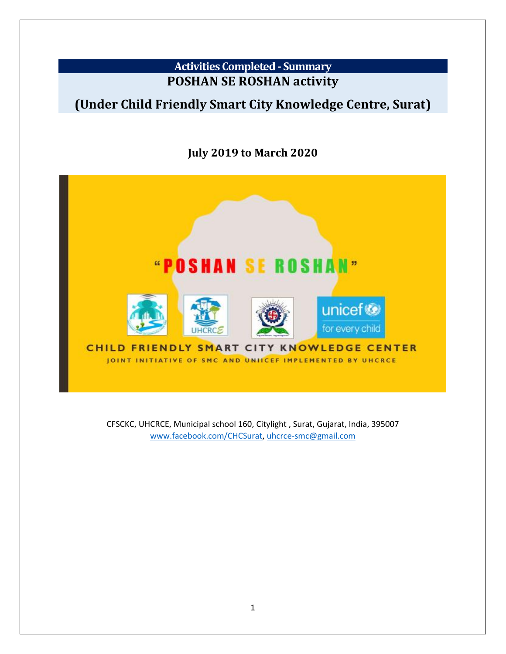## **Activities Completed - Summary POSHAN SE ROSHAN activity**

## **(Under Child Friendly Smart City Knowledge Centre, Surat)**

## **July 2019 to March 2020**



CFSCKC, UHCRCE, Municipal school 160, Citylight , Surat, Gujarat, India, 395007 [www.facebook.com/CHCSurat,](http://www.facebook.com/CHCSurat) [uhcrce-smc@gmail.com](mailto:uhcrce-smc@gmail.com)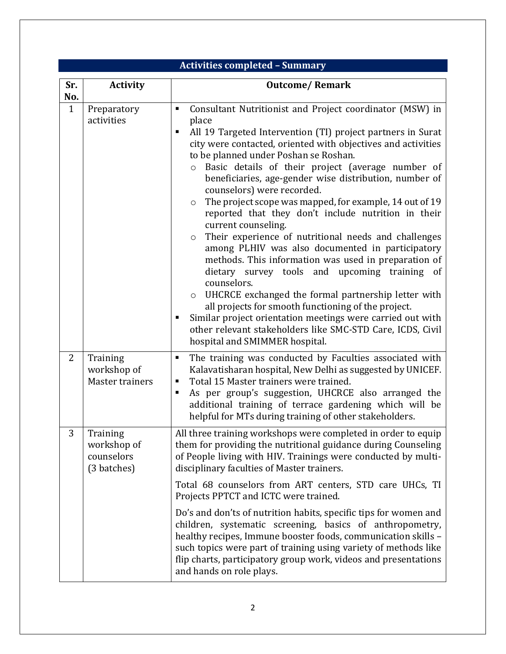|                | <b>Activities completed - Summary</b>                |                                                                                                                                                                                                                                                                                                                                                                                                                                                                                                                                                                                                                                                                                                                                                                                                                                                                                                                                                                                                                                                                                                   |  |  |  |  |
|----------------|------------------------------------------------------|---------------------------------------------------------------------------------------------------------------------------------------------------------------------------------------------------------------------------------------------------------------------------------------------------------------------------------------------------------------------------------------------------------------------------------------------------------------------------------------------------------------------------------------------------------------------------------------------------------------------------------------------------------------------------------------------------------------------------------------------------------------------------------------------------------------------------------------------------------------------------------------------------------------------------------------------------------------------------------------------------------------------------------------------------------------------------------------------------|--|--|--|--|
| Sr.<br>No.     | <b>Activity</b>                                      | <b>Outcome/Remark</b>                                                                                                                                                                                                                                                                                                                                                                                                                                                                                                                                                                                                                                                                                                                                                                                                                                                                                                                                                                                                                                                                             |  |  |  |  |
| $\mathbf{1}$   | Preparatory<br>activities                            | Consultant Nutritionist and Project coordinator (MSW) in<br>٠<br>place<br>All 19 Targeted Intervention (TI) project partners in Surat<br>٠<br>city were contacted, oriented with objectives and activities<br>to be planned under Poshan se Roshan.<br>o Basic details of their project (average number of<br>beneficiaries, age-gender wise distribution, number of<br>counselors) were recorded.<br>The project scope was mapped, for example, 14 out of 19<br>$\circ$<br>reported that they don't include nutrition in their<br>current counseling.<br>Their experience of nutritional needs and challenges<br>$\circ$<br>among PLHIV was also documented in participatory<br>methods. This information was used in preparation of<br>dietary survey tools and upcoming training of<br>counselors.<br>UHCRCE exchanged the formal partnership letter with<br>$\circ$<br>all projects for smooth functioning of the project.<br>Similar project orientation meetings were carried out with<br>п<br>other relevant stakeholders like SMC-STD Care, ICDS, Civil<br>hospital and SMIMMER hospital. |  |  |  |  |
| $\overline{2}$ | Training<br>workshop of<br><b>Master trainers</b>    | The training was conducted by Faculties associated with<br>п<br>Kalavatisharan hospital, New Delhi as suggested by UNICEF.<br>Total 15 Master trainers were trained.<br>п<br>As per group's suggestion, UHCRCE also arranged the<br>п<br>additional training of terrace gardening which will be<br>helpful for MTs during training of other stakeholders.                                                                                                                                                                                                                                                                                                                                                                                                                                                                                                                                                                                                                                                                                                                                         |  |  |  |  |
| 3              | Training<br>workshop of<br>counselors<br>(3 batches) | All three training workshops were completed in order to equip<br>them for providing the nutritional guidance during Counseling<br>of People living with HIV. Trainings were conducted by multi-<br>disciplinary faculties of Master trainers.                                                                                                                                                                                                                                                                                                                                                                                                                                                                                                                                                                                                                                                                                                                                                                                                                                                     |  |  |  |  |
|                |                                                      | Total 68 counselors from ART centers, STD care UHCs, TI<br>Projects PPTCT and ICTC were trained.                                                                                                                                                                                                                                                                                                                                                                                                                                                                                                                                                                                                                                                                                                                                                                                                                                                                                                                                                                                                  |  |  |  |  |
|                |                                                      | Do's and don'ts of nutrition habits, specific tips for women and<br>children, systematic screening, basics of anthropometry,<br>healthy recipes, Immune booster foods, communication skills -<br>such topics were part of training using variety of methods like<br>flip charts, participatory group work, videos and presentations<br>and hands on role plays.                                                                                                                                                                                                                                                                                                                                                                                                                                                                                                                                                                                                                                                                                                                                   |  |  |  |  |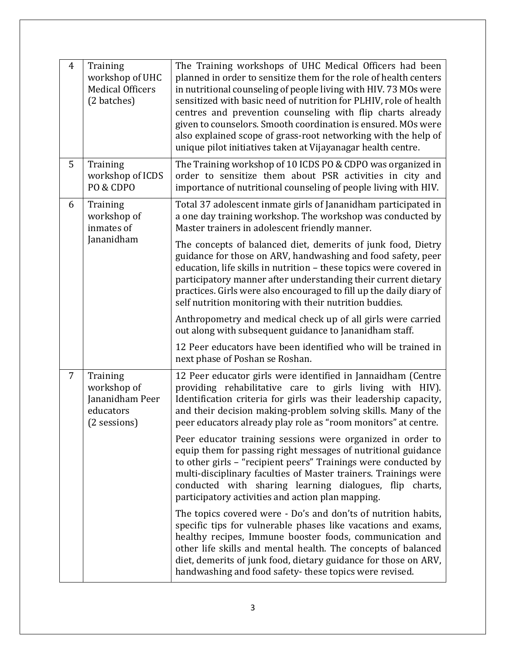| $\overline{4}$ | Training<br>workshop of UHC<br><b>Medical Officers</b><br>(2 batches)   | The Training workshops of UHC Medical Officers had been<br>planned in order to sensitize them for the role of health centers<br>in nutritional counseling of people living with HIV. 73 MOs were<br>sensitized with basic need of nutrition for PLHIV, role of health<br>centres and prevention counseling with flip charts already<br>given to counselors. Smooth coordination is ensured. MOs were<br>also explained scope of grass-root networking with the help of<br>unique pilot initiatives taken at Vijayanagar health centre. |  |
|----------------|-------------------------------------------------------------------------|----------------------------------------------------------------------------------------------------------------------------------------------------------------------------------------------------------------------------------------------------------------------------------------------------------------------------------------------------------------------------------------------------------------------------------------------------------------------------------------------------------------------------------------|--|
| 5              | Training<br>workshop of ICDS<br>PO & CDPO                               | The Training workshop of 10 ICDS PO & CDPO was organized in<br>order to sensitize them about PSR activities in city and<br>importance of nutritional counseling of people living with HIV.                                                                                                                                                                                                                                                                                                                                             |  |
| 6              | Training<br>workshop of<br>inmates of                                   | Total 37 adolescent inmate girls of Jananidham participated in<br>a one day training workshop. The workshop was conducted by<br>Master trainers in adolescent friendly manner.                                                                                                                                                                                                                                                                                                                                                         |  |
|                | Jananidham                                                              | The concepts of balanced diet, demerits of junk food, Dietry<br>guidance for those on ARV, handwashing and food safety, peer<br>education, life skills in nutrition - these topics were covered in<br>participatory manner after understanding their current dietary<br>practices. Girls were also encouraged to fill up the daily diary of<br>self nutrition monitoring with their nutrition buddies.                                                                                                                                 |  |
|                |                                                                         | Anthropometry and medical check up of all girls were carried<br>out along with subsequent guidance to Jananidham staff.                                                                                                                                                                                                                                                                                                                                                                                                                |  |
|                |                                                                         | 12 Peer educators have been identified who will be trained in<br>next phase of Poshan se Roshan.                                                                                                                                                                                                                                                                                                                                                                                                                                       |  |
| $\overline{7}$ | Training<br>workshop of<br>Jananidham Peer<br>educators<br>(2 sessions) | 12 Peer educator girls were identified in Jannaidham (Centre<br>providing rehabilitative care to girls living with HIV).<br>Identification criteria for girls was their leadership capacity,<br>and their decision making-problem solving skills. Many of the<br>peer educators already play role as "room monitors" at centre.                                                                                                                                                                                                        |  |
|                |                                                                         | Peer educator training sessions were organized in order to<br>equip them for passing right messages of nutritional guidance<br>to other girls - "recipient peers" Trainings were conducted by<br>multi-disciplinary faculties of Master trainers. Trainings were<br>conducted with sharing learning dialogues, flip charts,<br>participatory activities and action plan mapping.                                                                                                                                                       |  |
|                |                                                                         | The topics covered were - Do's and don'ts of nutrition habits,<br>specific tips for vulnerable phases like vacations and exams,<br>healthy recipes, Immune booster foods, communication and<br>other life skills and mental health. The concepts of balanced<br>diet, demerits of junk food, dietary guidance for those on ARV,<br>handwashing and food safety-these topics were revised.                                                                                                                                              |  |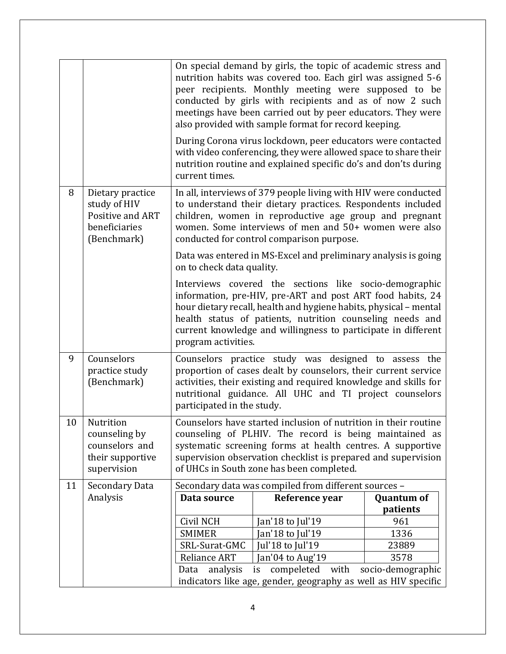|    |                                                                                      | On special demand by girls, the topic of academic stress and<br>nutrition habits was covered too. Each girl was assigned 5-6<br>peer recipients. Monthly meeting were supposed to be<br>conducted by girls with recipients and as of now 2 such<br>meetings have been carried out by peer educators. They were<br>also provided with sample format for record keeping. |                                                                                                                                                                                                                                                                                                                         |                   |  |  |
|----|--------------------------------------------------------------------------------------|------------------------------------------------------------------------------------------------------------------------------------------------------------------------------------------------------------------------------------------------------------------------------------------------------------------------------------------------------------------------|-------------------------------------------------------------------------------------------------------------------------------------------------------------------------------------------------------------------------------------------------------------------------------------------------------------------------|-------------------|--|--|
|    |                                                                                      | current times.                                                                                                                                                                                                                                                                                                                                                         | During Corona virus lockdown, peer educators were contacted<br>with video conferencing, they were allowed space to share their<br>nutrition routine and explained specific do's and don'ts during                                                                                                                       |                   |  |  |
| 8  | Dietary practice<br>study of HIV<br>Positive and ART<br>beneficiaries<br>(Benchmark) | In all, interviews of 379 people living with HIV were conducted<br>to understand their dietary practices. Respondents included<br>children, women in reproductive age group and pregnant<br>women. Some interviews of men and 50+ women were also<br>conducted for control comparison purpose.                                                                         |                                                                                                                                                                                                                                                                                                                         |                   |  |  |
|    |                                                                                      | Data was entered in MS-Excel and preliminary analysis is going<br>on to check data quality.                                                                                                                                                                                                                                                                            |                                                                                                                                                                                                                                                                                                                         |                   |  |  |
|    |                                                                                      | program activities.                                                                                                                                                                                                                                                                                                                                                    | Interviews covered the sections like socio-demographic<br>information, pre-HIV, pre-ART and post ART food habits, 24<br>hour dietary recall, health and hygiene habits, physical - mental<br>health status of patients, nutrition counseling needs and<br>current knowledge and willingness to participate in different |                   |  |  |
| 9  | Counselors<br>practice study<br>(Benchmark)                                          | Counselors practice study was designed to assess the<br>proportion of cases dealt by counselors, their current service<br>activities, their existing and required knowledge and skills for<br>nutritional guidance. All UHC and TI project counselors<br>participated in the study.                                                                                    |                                                                                                                                                                                                                                                                                                                         |                   |  |  |
| 10 | Nutrition<br>counseling by<br>counselors and<br>their supportive<br>supervision      | Counselors have started inclusion of nutrition in their routine<br>counseling of PLHIV. The record is being maintained as<br>systematic screening forms at health centres. A supportive<br>supervision observation checklist is prepared and supervision<br>of UHCs in South zone has been completed.                                                                  |                                                                                                                                                                                                                                                                                                                         |                   |  |  |
| 11 | Secondary Data                                                                       |                                                                                                                                                                                                                                                                                                                                                                        | Secondary data was compiled from different sources -                                                                                                                                                                                                                                                                    |                   |  |  |
|    | Analysis                                                                             | Data source                                                                                                                                                                                                                                                                                                                                                            | Reference year                                                                                                                                                                                                                                                                                                          | <b>Quantum of</b> |  |  |
|    |                                                                                      |                                                                                                                                                                                                                                                                                                                                                                        |                                                                                                                                                                                                                                                                                                                         | patients          |  |  |
|    |                                                                                      | Civil NCH                                                                                                                                                                                                                                                                                                                                                              | Jan'18 to Jul'19                                                                                                                                                                                                                                                                                                        | 961               |  |  |
|    |                                                                                      | <b>SMIMER</b>                                                                                                                                                                                                                                                                                                                                                          | an'18 to Jul'19                                                                                                                                                                                                                                                                                                         | 1336              |  |  |
|    |                                                                                      | SRL-Surat-GMC                                                                                                                                                                                                                                                                                                                                                          | Jul'18 to Jul'19                                                                                                                                                                                                                                                                                                        | 23889             |  |  |
|    |                                                                                      | <b>Reliance ART</b>                                                                                                                                                                                                                                                                                                                                                    | Jan'04 to Aug'19                                                                                                                                                                                                                                                                                                        | 3578              |  |  |
|    |                                                                                      | compeleted<br>with<br>socio-demographic<br>Data<br>analysis<br>is                                                                                                                                                                                                                                                                                                      |                                                                                                                                                                                                                                                                                                                         |                   |  |  |
|    |                                                                                      | indicators like age, gender, geography as well as HIV specific                                                                                                                                                                                                                                                                                                         |                                                                                                                                                                                                                                                                                                                         |                   |  |  |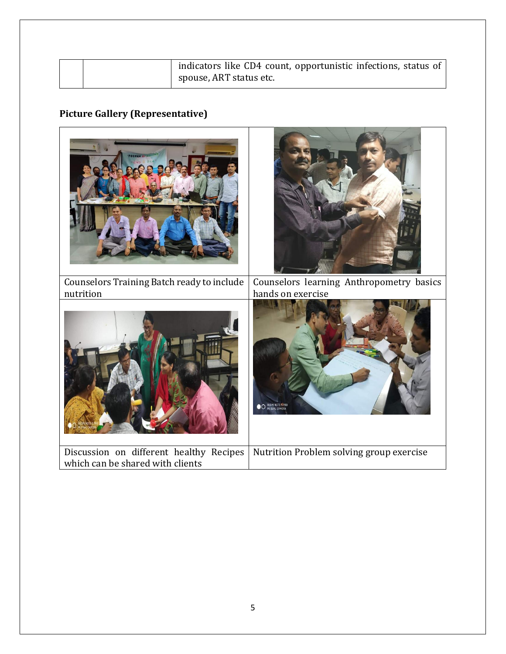| indicators like CD4 count, opportunistic infections, status of<br>spouse, ART status etc. |
|-------------------------------------------------------------------------------------------|
|-------------------------------------------------------------------------------------------|

## **Picture Gallery (Representative)**